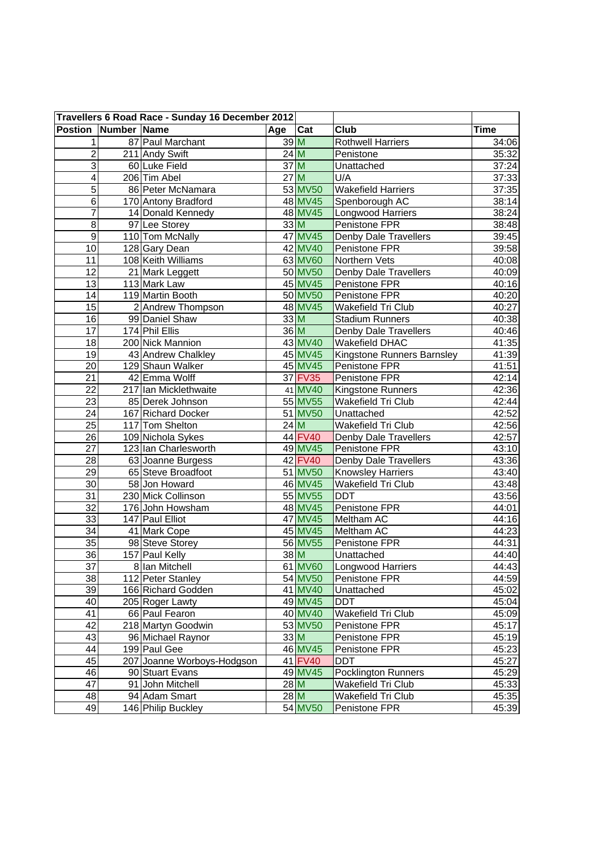| Travellers 6 Road Race - Sunday 16 December 2012 |  |                            |        |         |                            |             |
|--------------------------------------------------|--|----------------------------|--------|---------|----------------------------|-------------|
| <b>Postion Number Name</b>                       |  |                            | Age    | Cat     | Club                       | <b>Time</b> |
| $\mathbf{1}$                                     |  | 87 Paul Marchant           |        | 39M     | <b>Rothwell Harriers</b>   | 34:06       |
| $\overline{2}$                                   |  | 211 Andy Swift             | 24M    |         | Penistone                  | 35:32       |
| $\overline{3}$                                   |  | 60 Luke Field              | 37 M   |         | Unattached                 | 37:24       |
| $\overline{4}$                                   |  | 206 Tim Abel               | 27M    |         | U/A                        | 37:33       |
| $\overline{5}$                                   |  | 86 Peter McNamara          |        | 53 MV50 | <b>Wakefield Harriers</b>  | 37:35       |
| $\overline{6}$                                   |  | 170 Antony Bradford        |        | 48 MV45 | Spenborough AC             | 38:14       |
| 7                                                |  | 14 Donald Kennedy          |        | 48 MV45 | Longwood Harriers          | 38:24       |
| $\overline{8}$                                   |  | 97 Lee Storey              | 33M    |         | Penistone FPR              | 38:48       |
| $\overline{9}$                                   |  | 110 Tom McNally            |        | 47 MV45 | Denby Dale Travellers      | 39:45       |
| $\overline{10}$                                  |  | 128 Gary Dean              |        | 42 MV40 | Penistone FPR              | 39:58       |
| $\overline{11}$                                  |  | 108 Keith Williams         |        | 63 MV60 | Northern Vets              | 40:08       |
| 12                                               |  | 21 Mark Leggett            |        | 50 MV50 | Denby Dale Travellers      | 40:09       |
| 13                                               |  | 113 Mark Law               |        | 45 MV45 | Penistone FPR              | 40:16       |
| 14                                               |  | 119 Martin Booth           |        | 50 MV50 | Penistone FPR              | 40:20       |
| $\overline{15}$                                  |  | 2 Andrew Thompson          |        | 48 MV45 | Wakefield Tri Club         | 40:27       |
| $\overline{16}$                                  |  | 99 Daniel Shaw             | 33M    |         | <b>Stadium Runners</b>     | 40:38       |
| 17                                               |  | 174 Phil Ellis             | 36 M   |         | Denby Dale Travellers      | 40:46       |
| 18                                               |  | 200 Nick Mannion           |        | 43 MV40 | Wakefield DHAC             | 41:35       |
| 19                                               |  | 43 Andrew Chalkley         |        | 45 MV45 | Kingstone Runners Barnsley | 41:39       |
| $\overline{20}$                                  |  | 129 Shaun Walker           |        | 45 MV45 | Penistone FPR              | 41:51       |
| $\overline{21}$                                  |  | 42 Emma Wolff              |        | 37 FV35 | Penistone FPR              | 42:14       |
| 22                                               |  | 217 Ian Micklethwaite      |        | 41 MV40 | Kingstone Runners          | 42:36       |
| $\overline{23}$                                  |  | 85 Derek Johnson           |        | 55 MV55 | Wakefield Tri Club         | 42:44       |
| 24                                               |  | 167 Richard Docker         |        | 51 MV50 | Unattached                 | 42:52       |
| $\overline{25}$                                  |  | 117 Tom Shelton            | 24M    |         | Wakefield Tri Club         | 42:56       |
| 26                                               |  | 109 Nichola Sykes          |        | 44 FV40 | Denby Dale Travellers      | 42:57       |
| $\overline{27}$                                  |  | 123 Ian Charlesworth       |        | 49 MV45 | Penistone FPR              | 43:10       |
| 28                                               |  | 63 Joanne Burgess          |        | 42 FV40 | Denby Dale Travellers      | 43:36       |
| $\overline{29}$                                  |  | 65 Steve Broadfoot         |        | 51 MV50 | Knowsley Harriers          | 43:40       |
| 30                                               |  | 58 Jon Howard              |        | 46 MV45 | Wakefield Tri Club         | 43:48       |
| $\overline{31}$                                  |  | 230 Mick Collinson         |        | 55 MV55 | <b>DDT</b>                 | 43:56       |
| 32                                               |  | 176 John Howsham           |        | 48 MV45 | Penistone FPR              | 44:01       |
| 33                                               |  | 147 Paul Elliot            |        | 47 MV45 | Meltham AC                 | 44:16       |
| $\overline{34}$                                  |  | 41 Mark Cope               |        | 45 MV45 | Meltham AC                 | 44:23       |
| 35                                               |  | 98 Steve Storey            |        | 56 MV55 | Penistone FPR              | 44:31       |
| $\overline{36}$                                  |  | 157 Paul Kelly             |        | 38M     | Unattached                 | 44:40       |
| 37                                               |  | 8 Ian Mitchell             |        | 61 MV60 | Longwood Harriers          | 44:43       |
| 38                                               |  | 112 Peter Stanley          |        | 54 MV50 | Penistone FPR              | 44:59       |
| 39                                               |  | 166 Richard Godden         |        | 41 MV40 | Unattached                 | 45:02       |
| 40                                               |  | 205 Roger Lawty            |        | 49 MV45 | <b>DDT</b>                 | 45:04       |
| 41                                               |  | 66 Paul Fearon             |        | 40 MV40 | Wakefield Tri Club         | 45:09       |
| 42                                               |  | 218 Martyn Goodwin         |        | 53 MV50 | Penistone FPR              | 45:17       |
| 43                                               |  | 96 Michael Raynor          | 33M    |         | Penistone FPR              | 45:19       |
| 44                                               |  | 199 Paul Gee               |        | 46 MV45 | Penistone FPR              | 45:23       |
| 45                                               |  | 207 Joanne Worboys-Hodgson |        | 41 FV40 | <b>DDT</b>                 | 45:27       |
| 46                                               |  | 90 Stuart Evans            |        | 49 MV45 | Pocklington Runners        | 45:29       |
| 47                                               |  | 91 John Mitchell           | $28$ M |         | Wakefield Tri Club         | 45:33       |
| 48                                               |  | 94 Adam Smart              | $28$ M |         | Wakefield Tri Club         | 45:35       |
| 49                                               |  | 146 Philip Buckley         |        | 54 MV50 | Penistone FPR              | 45:39       |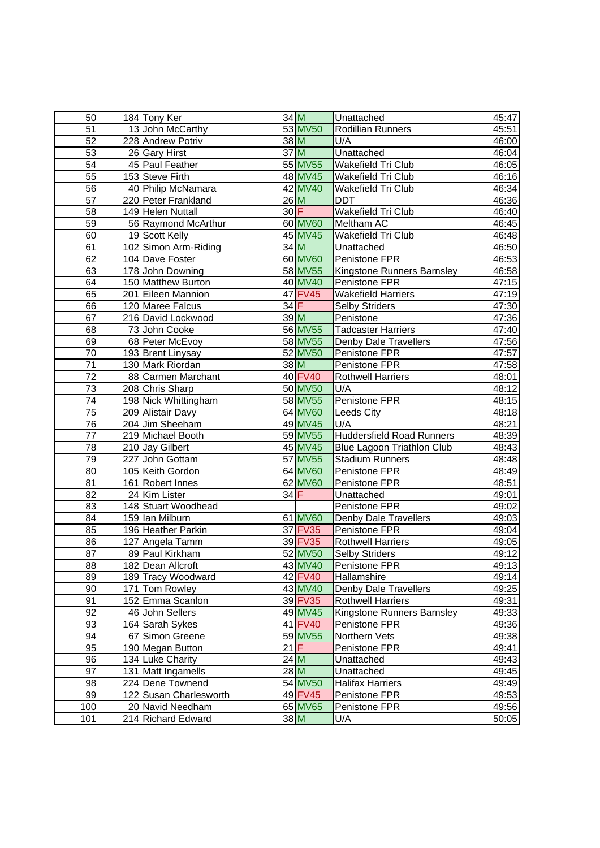| 50              | 184 Tony Ker           |        | 34 M    | Unattached                        | 45:47 |
|-----------------|------------------------|--------|---------|-----------------------------------|-------|
| 51              | 13 John McCarthy       |        | 53 MV50 | Rodillian Runners                 | 45:51 |
| 52              | 228 Andrew Potriv      | 38 M   |         | U/A                               | 46:00 |
| $\overline{53}$ | 26 Gary Hirst          | 37 M   |         | Unattached                        | 46:04 |
| $\overline{54}$ | 45 Paul Feather        |        | 55 MV55 | Wakefield Tri Club                | 46:05 |
| 55              | 153 Steve Firth        |        | 48 MV45 | Wakefield Tri Club                | 46:16 |
| 56              | 40 Philip McNamara     |        | 42 MV40 | Wakefield Tri Club                | 46:34 |
| 57              | 220 Peter Frankland    | 26M    |         | <b>DDT</b>                        | 46:36 |
| 58              | 149 Helen Nuttall      | 30 F   |         | <b>Wakefield Tri Club</b>         | 46:40 |
| 59              | 56 Raymond McArthur    |        | 60 MV60 | Meltham AC                        | 46:45 |
| 60              | 19 Scott Kelly         |        | 45 MV45 | Wakefield Tri Club                | 46:48 |
| 61              | 102 Simon Arm-Riding   | $34$ M |         | Unattached                        | 46:50 |
| 62              | 104 Dave Foster        |        | 60 MV60 | Penistone FPR                     | 46:53 |
| 63              | 178 John Downing       |        | 58 MV55 | Kingstone Runners Barnsley        | 46:58 |
| 64              | 150 Matthew Burton     |        | 40 MV40 | Penistone FPR                     | 47:15 |
| 65              | 201 Eileen Mannion     |        | 47 FV45 | <b>Wakefield Harriers</b>         | 47:19 |
| 66              | 120 Maree Falcus       | $34$ F |         | <b>Selby Striders</b>             | 47:30 |
| 67              | 216 David Lockwood     |        | 39M     | Penistone                         | 47:36 |
| 68              | 73 John Cooke          |        | 56 MV55 | <b>Tadcaster Harriers</b>         | 47:40 |
| 69              | 68 Peter McEvoy        |        | 58 MV55 | <b>Denby Dale Travellers</b>      | 47:56 |
| $\overline{70}$ | 193 Brent Linysay      |        | 52 MV50 | Penistone FPR                     | 47:57 |
| $\overline{71}$ | 130 Mark Riordan       | 38 M   |         | Penistone FPR                     | 47:58 |
| $\overline{72}$ | 88 Carmen Marchant     |        | 40 FV40 | <b>Rothwell Harriers</b>          | 48:01 |
| $\overline{73}$ | 208 Chris Sharp        |        | 50 MV50 | U/A                               | 48:12 |
| $\overline{74}$ | 198 Nick Whittingham   |        | 58 MV55 | Penistone FPR                     | 48:15 |
| 75              | 209 Alistair Davy      |        | 64 MV60 | Leeds City                        | 48:18 |
| 76              | 204 Jim Sheeham        |        | 49 MV45 | U/A                               | 48:21 |
| $\overline{77}$ | 219 Michael Booth      |        | 59 MV55 | <b>Huddersfield Road Runners</b>  | 48:39 |
| $\overline{78}$ | 210 Jay Gilbert        |        | 45 MV45 | <b>Blue Lagoon Triathlon Club</b> | 48:43 |
| 79              | 227 John Gottam        |        | 57 MV55 | <b>Stadium Runners</b>            | 48:48 |
| 80              | 105 Keith Gordon       |        | 64 MV60 | Penistone FPR                     | 48:49 |
| 81              | 161 Robert Innes       |        | 62 MV60 | Penistone FPR                     | 48:51 |
| $\overline{82}$ | 24 Kim Lister          | $34$ F |         | Unattached                        | 49:01 |
| 83              | 148 Stuart Woodhead    |        |         | Penistone FPR                     | 49:02 |
| 84              | 159 Ian Milburn        |        | 61 MV60 | Denby Dale Travellers             | 49:03 |
| 85              | 196 Heather Parkin     |        | 37 FV35 | Penistone FPR                     | 49:04 |
| 86              | 127 Angela Tamm        |        | 39 FV35 | <b>Rothwell Harriers</b>          | 49:05 |
| $\overline{87}$ | 89 Paul Kirkham        |        | 52 MV50 | <b>Selby Striders</b>             | 49:12 |
| 88              | 182 Dean Allcroft      |        | 43 MV40 | Penistone FPR                     | 49:13 |
| 89              | 189 Tracy Woodward     |        | 42 FV40 | Hallamshire                       | 49:14 |
| 90              | 171 Tom Rowley         |        | 43 MV40 | Denby Dale Travellers             | 49:25 |
| 91              | 152 Emma Scanlon       |        | 39 FV35 | <b>Rothwell Harriers</b>          | 49:31 |
| 92              | 46 John Sellers        |        | 49 MV45 | Kingstone Runners Barnsley        | 49:33 |
| 93              | 164 Sarah Sykes        |        | 41 FV40 | Penistone FPR                     | 49:36 |
| 94              | 67 Simon Greene        |        | 59 MV55 | Northern Vets                     | 49:38 |
| 95              | 190 Megan Button       | 21F    |         | Penistone FPR                     | 49:41 |
| 96              | 134 Luke Charity       |        | 24M     | Unattached                        | 49:43 |
| $\overline{97}$ | 131 Matt Ingamells     | $28$ M |         | Unattached                        | 49:45 |
| 98              | 224 Dene Townend       |        | 54 MV50 | <b>Halifax Harriers</b>           | 49:49 |
| 99              | 122 Susan Charlesworth |        | 49 FV45 | Penistone FPR                     | 49:53 |
| 100             | 20 Navid Needham       |        | 65 MV65 | Penistone FPR                     | 49:56 |
| 101             | 214 Richard Edward     |        | $38$ M  | U/A                               | 50:05 |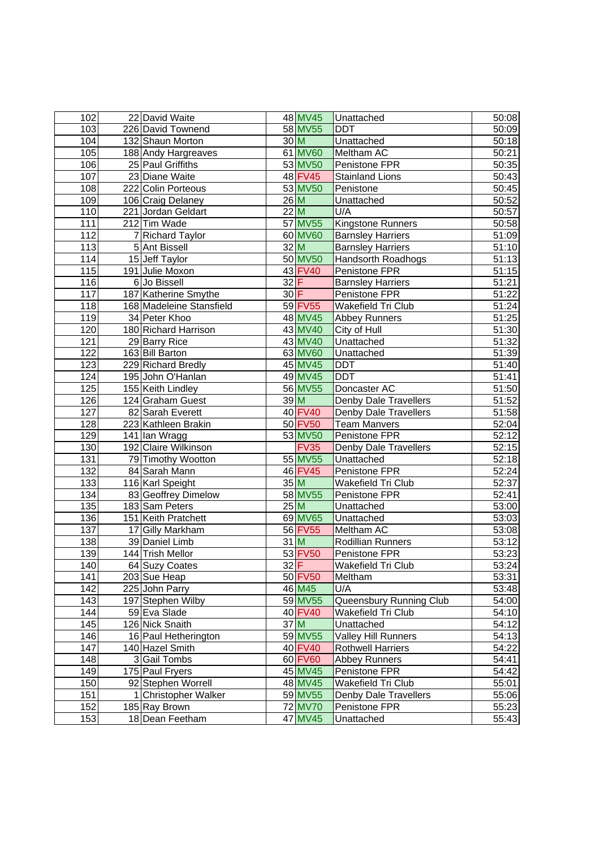| 102              | 22 David Waite           |                 | 48 MV45     | Unattached               | 50:08              |
|------------------|--------------------------|-----------------|-------------|--------------------------|--------------------|
| 103              | 226 David Townend        |                 | 58 MV55     | <b>DDT</b>               | 50:09              |
| 104              | 132 Shaun Morton         | 30 <sub>M</sub> |             | Unattached               | 50:18              |
| 105              | 188 Andy Hargreaves      |                 | 61 MV60     | Meltham AC               | 50:21              |
| 106              | 25 Paul Griffiths        |                 | 53 MV50     | Penistone FPR            | 50:35              |
| 107              | 23 Diane Waite           |                 | 48 FV45     | <b>Stainland Lions</b>   | 50:43              |
| 108              | 222 Colin Porteous       |                 | 53 MV50     | Penistone                | 50:45              |
| 109              | 106 Craig Delaney        |                 | $26$ M      | Unattached               | 50:52              |
| 110              | 221 Jordan Geldart       |                 | 22M         | U/A                      | 50:57              |
| $\overline{111}$ | 212 Tim Wade             |                 | 57 MV55     | Kingstone Runners        | 50:58              |
| 112              | 7 Richard Taylor         |                 | 60 MV60     | <b>Barnsley Harriers</b> | 51:09              |
| 113              | 5 Ant Bissell            | 32M             |             | <b>Barnsley Harriers</b> | 51:10              |
| 114              | 15 Jeff Taylor           |                 | 50 MV50     | Handsorth Roadhogs       | 51:13              |
| 115              | 191 Julie Moxon          |                 | 43 FV40     | Penistone FPR            | 51:15              |
| 116              | 6 Jo Bissell             | $32$ $F$        |             | <b>Barnsley Harriers</b> | 51:21              |
| 117              | 187 Katherine Smythe     | $30$ F          |             | Penistone FPR            | 51:22              |
| 118              | 168 Madeleine Stansfield |                 | 59 FV55     | Wakefield Tri Club       | 51:24              |
| 119              | 34 Peter Khoo            |                 | 48 MV45     | <b>Abbey Runners</b>     | 51:25              |
| 120              | 180 Richard Harrison     |                 | 43 MV40     | City of Hull             | 51:30              |
| 121              | 29 Barry Rice            |                 | 43 MV40     | Unattached               | 51:32              |
| 122              | 163 Bill Barton          |                 | 63 MV60     | Unattached               | 51:39              |
| 123              | 229 Richard Bredly       |                 | 45 MV45     | <b>DDT</b>               | 51:40              |
| 124              | 195 John O'Hanlan        |                 | 49 MV45     | <b>DDT</b>               | 51:41              |
| 125              | 155 Keith Lindley        |                 | 56 MV55     | Doncaster AC             | 51:50              |
| 126              | 124 Graham Guest         | 39 M            |             | Denby Dale Travellers    | 51:52              |
| 127              | 82 Sarah Everett         |                 | 40 FV40     | Denby Dale Travellers    | 51:58              |
| 128              | 223 Kathleen Brakin      |                 | 50 FV50     | Team Manvers             | 52:04              |
| 129              | 141 Ian Wragg            |                 | 53 MV50     | Penistone FPR            | 52:12              |
| 130              | 192 Claire Wilkinson     |                 | <b>FV35</b> | Denby Dale Travellers    | 52:15              |
| 131              | 79 Timothy Wootton       |                 | 55 MV55     | Unattached               | 52:18              |
| 132              | 84 Sarah Mann            |                 | 46 FV45     | Penistone FPR            | 52:24              |
| 133              | 116 Karl Speight         | 35M             |             | Wakefield Tri Club       | 52:37              |
| 134              | 83 Geoffrey Dimelow      |                 | 58 MV55     | Penistone FPR            | 52:41              |
| 135              | 183 Sam Peters           | 25M             |             | Unattached               | 53:00              |
| 136              | 151 Keith Pratchett      |                 | 69 MV65     | Unattached               | $\overline{53:}03$ |
| 137              | 17 Gilly Markham         |                 | 56 FV55     | Meltham AC               | 53:08              |
| 138              | 39 Daniel Limb           |                 | $31$ M      | Rodillian Runners        | 53:12              |
| 139              | 144 Trish Mellor         |                 | 53 FV50     | Penistone FPR            | 53:23              |
| 140              | 64 Suzy Coates           | 32 F            |             | Wakefield Tri Club       | 53:24              |
| 141              | 203 Sue Heap             |                 | 50 FV50     | Meltham                  | 53:31              |
| 142              | 225 John Parry           |                 | 46 M45      | U/A                      | 53:48              |
| 143              | 197 Stephen Wilby        |                 | 59 MV55     | Queensbury Running Club  | 54:00              |
| 144              | 59 Eva Slade             |                 | 40 FV40     | Wakefield Tri Club       | 54:10              |
| 145              | 126 Nick Snaith          | 37 M            |             | Unattached               | 54:12              |
| 146              | 16 Paul Hetherington     |                 | 59 MV55     | Valley Hill Runners      | 54:13              |
| 147              | 140 Hazel Smith          |                 | 40 FV40     | <b>Rothwell Harriers</b> | 54:22              |
| 148              | 3 Gail Tombs             |                 | 60 FV60     | <b>Abbey Runners</b>     | 54:41              |
| 149              | 175 Paul Fryers          |                 | 45 MV45     | Penistone FPR            | 54:42              |
| 150              | 92 Stephen Worrell       |                 | 48 MV45     | Wakefield Tri Club       | 55:01              |
| 151              | 1 Christopher Walker     |                 | 59 MV55     | Denby Dale Travellers    | 55:06              |
| 152              | 185 Ray Brown            |                 | 72 MV70     | Penistone FPR            | 55:23              |
| 153              | 18 Dean Feetham          |                 | 47 MV45     | Unattached               | 55:43              |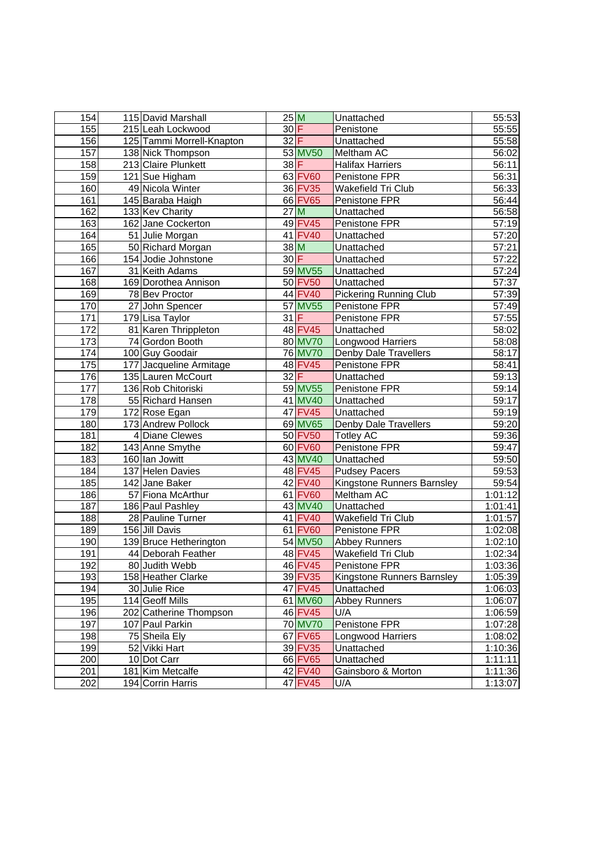| 154              | 115 David Marshall                           | 25M    |                    | Unattached                                  | 55:53              |
|------------------|----------------------------------------------|--------|--------------------|---------------------------------------------|--------------------|
| 155              | 215 Leah Lockwood                            | $30$ F |                    | Penistone                                   | 55:55              |
| 156              | 125 Tammi Morrell-Knapton                    | $32$ F |                    | Unattached                                  | 55:58              |
| 157              | 138 Nick Thompson                            |        | 53 MV50            | Meltham AC                                  | 56:02              |
| 158              | 213 Claire Plunkett                          | $38$ F |                    | <b>Halifax Harriers</b>                     | 56:11              |
| 159              | 121 Sue Higham                               |        | 63 FV60            | Penistone FPR                               | 56:31              |
| 160              | 49 Nicola Winter                             |        | 36 FV35            | Wakefield Tri Club                          | 56:33              |
| 161              | 145 Baraba Haigh                             |        | 66 FV65            | Penistone FPR                               | 56:44              |
| 162              | 133 Kev Charity                              |        | 27M                | Unattached                                  | 56:58              |
| 163              | 162 Jane Cockerton                           |        | 49 FV45            | Penistone FPR                               | 57:19              |
| 164              | 51 Julie Morgan                              |        | 41 FV40            | Unattached                                  | 57:20              |
| 165              | 50 Richard Morgan                            |        | $38$ M             | Unattached                                  | 57:21              |
| 166              | 154 Jodie Johnstone                          | 30 F   |                    | Unattached                                  | 57:22              |
| 167              | 31 Keith Adams                               |        | 59 MV55            | Unattached                                  | 57:24              |
| 168              | 169 Dorothea Annison                         |        | 50 FV50            | Unattached                                  | 57:37              |
| 169              | 78 Bev Proctor                               |        | 44 FV40            | <b>Pickering Running Club</b>               | 57:39              |
| 170              | 27 John Spencer                              |        | 57 MV55            | Penistone FPR                               | 57:49              |
| 171              | 179 Lisa Taylor                              | $31$ F |                    | Penistone FPR                               | 57:55              |
| 172              | 81 Karen Thrippleton                         |        | 48 FV45            | Unattached                                  | 58:02              |
| 173              | 74 Gordon Booth                              |        | 80 MV70            | <b>Longwood Harriers</b>                    | 58:08              |
| $\overline{174}$ | 100 Guy Goodair                              |        | <b>76 MV70</b>     | Denby Dale Travellers                       | 58:17              |
| 175              | 177 Jacqueline Armitage                      |        | 48 FV45            | Penistone FPR                               | 58:41              |
| 176              | 135 Lauren McCourt                           | 32 F   |                    | Unattached                                  | 59:13              |
| $\overline{177}$ | 136 Rob Chitoriski                           |        | 59 MV55            | Penistone FPR                               | 59:14              |
| 178              | 55 Richard Hansen                            |        | 41 MV40            | Unattached                                  | 59:17              |
| 179              | 172 Rose Egan                                |        | 47 FV45            | Unattached                                  | 59:19              |
| 180              | 173 Andrew Pollock                           |        | 69 MV65            | Denby Dale Travellers                       | 59:20              |
| 181              | 4 Diane Clewes                               |        | 50 FV50            | <b>Totley AC</b>                            | 59:36              |
| 182              | 143 Anne Smythe                              |        | 60 FV60            | Penistone FPR                               | 59:47              |
| 183              | 160 Ian Jowitt                               |        | 43 MV40            | Unattached                                  | 59:50              |
| 184              | 137 Helen Davies                             |        | 48 FV45            | <b>Pudsey Pacers</b>                        | 59:53              |
| 185              | 142 Jane Baker                               |        | 42 FV40            | Kingstone Runners Barnsley                  | 59:54              |
| 186              | 57 Fiona McArthur                            |        | 61 FV60            | Meltham AC                                  | 1:01:12            |
| 187              | 186 Paul Pashley                             |        | 43 MV40            | Unattached                                  | 1:01:41            |
| 188              | 28 Pauline Turner                            |        | 41 FV40            | Wakefield Tri Club                          | 1:01:57            |
| 189<br>190       | 156 Jill Davis                               |        | 61 FV60<br>54 MV50 | Penistone FPR                               | 1:02:08            |
| 191              | 139 Bruce Hetherington<br>44 Deborah Feather |        | 48 FV45            | <b>Abbey Runners</b><br>Wakefield Tri Club  | 1:02:10<br>1:02:34 |
| 192              | 80 Judith Webb                               |        | 46 FV45            |                                             |                    |
| 193              | 158 Heather Clarke                           |        | 39 FV35            | Penistone FPR<br>Kingstone Runners Barnsley | 1:03:36<br>1:05:39 |
| 194              | 30 Julie Rice                                |        | 47 FV45            | Unattached                                  | 1:06:03            |
| 195              | 114 Geoff Mills                              |        | 61 MV60            | <b>Abbey Runners</b>                        | 1:06:07            |
| 196              | 202 Catherine Thompson                       |        | 46 FV45            | U/A                                         | 1:06:59            |
| 197              | 107 Paul Parkin                              |        | <b>70 MV70</b>     | Penistone FPR                               | 1:07:28            |
| 198              | 75 Sheila Ely                                |        | 67 FV65            | Longwood Harriers                           | 1:08:02            |
| 199              | 52 Vikki Hart                                |        | 39 FV35            | Unattached                                  | 1:10:36            |
| 200              | 10 Dot Carr                                  |        | 66 FV65            | Unattached                                  | 1:11:11            |
| 201              | 181 Kim Metcalfe                             |        | 42 FV40            | Gainsboro & Morton                          | 1:11:36            |
| 202              | 194 Corrin Harris                            |        | 47 FV45            | U/A                                         | 1:13:07            |
|                  |                                              |        |                    |                                             |                    |